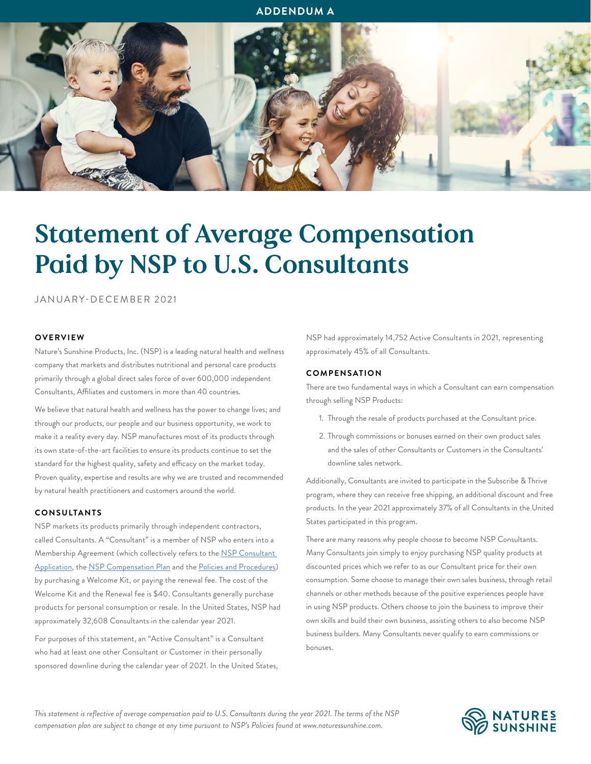# **ADDENDUM A**



# Statement of Average Compensation Paid by NSP to U.S. Consultants

JANUARY-DECEMBER 2021

# **OVERVIEW**

Nature's Sunshine Products, Inc. (NSP) is a leading natural health and wellness company that markets and distributes nutritional and personal care products primarily through a global direct sales force of over 600,000 independent Consultants, Affiliates and customers in more than 40 countries.

We believe that natural health and wellness has the power to change lives; and through our products, our people and our business opportunity, we work to make it a reality every day. NSP manufactures most of its products through its own state-of-the-art facilities to ensure its products continue to set the standard for the highest quality, safety and efficacy on the market today. Proven quality, expertise and results are why we are trusted and recommended by natural health practitioners and customers around the world.

# **CONSULTANTS**

NSP markets its products primarily through independent contractors, called Consultants. A "Consultant" is a member of NSP who enters into a Membership Agreement (which collectively refers to the [NSP Consultant](https://www.naturessunshine.com/wp-content/uploads/2022/05/US-consultant-application-1.pdf)  [Application,](https://www.naturessunshine.com/wp-content/uploads/2022/05/US-consultant-application-1.pdf) the [NSP Compensation Plan](https://res.cloudinary.com/natures-sunshine/image/upload/v1599236745/natures-sunshine/content/us/misc/Legal Docs 2012/Plan/USA_Comp_Plan_EN.pdf) and the [Policies and Procedures\)](https://www.naturessunshine.com/wp-content/uploads/2021/08/US-PNP_0821RF.pdf) by purchasing a Welcome Kit, or paying the renewal fee. The cost of the Welcome Kit and the Renewal fee is \$40. Consultants generally purchase products for personal consumption or resale. In the United States, NSP had approximately 32,608 Consultants in the calendar year 2021.

For purposes of this statement, an "Active Consultant" is a Consultant who had at least one other Consultant or Customer in their personally sponsored downline during the calendar year of 2021. In the United States,

NSP had approximately 14,752 Active Consultants in 2021, representing approximately 45% of all Consultants.

#### **COMPENSATION**

There are two fundamental ways in which a Consultant can earn compensation through selling NSP Products:

- 1. Through the resale of products purchased at the Consultant price.
- 2. Through commissions or bonuses earned on their own product sales and the sales of other Consultants or Customers in the Consultants' downline sales network.

Additionally, Consultants are invited to participate in the Subscribe & Thrive program, where they can receive free shipping, an additional discount and free products. In the year 2021 approximately 37% of all Consultants in the United States participated in this program.

There are many reasons why people choose to become NSP Consultants. Many Consultants join simply to enjoy purchasing NSP quality products at discounted prices which we refer to as our Consultant price for their own consumption. Some choose to manage their own sales business, through retail channels or other methods because of the positive experiences people have in using NSP products. Others choose to join the business to improve their own skills and build their own business, assisting others to also become NSP business builders. Many Consultants never qualify to earn commissions or bonuses.

*This statement is reflective of average compensation paid to U.S. Consultants during the year 2021. The terms of the NSP compensation plan are subject to change at any time pursuant to NSP's Policies found at www.naturessunshine.com.*